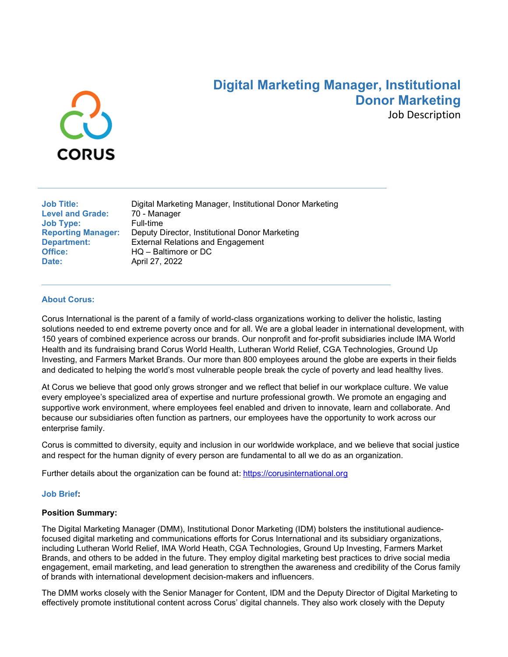

# **Digital Marketing Manager, Institutional Donor Marketing**

Job Description

| <b>Job Title:</b>         |
|---------------------------|
| <b>Level and Grade:</b>   |
| Job Type:                 |
| <b>Reporting Manager:</b> |
| <b>Department:</b>        |
| Office:                   |
| Date:                     |

Digital Marketing Manager, Institutional Donor Marketing **Level and Grade:** 70 - Manager **Full-time Deputy Director, Institutional Donor Marketing External Relations and Engagement Office:** HQ – Baltimore or DC **Date:** April 27, 2022

#### **About Corus:**

Corus International is the parent of a family of world-class organizations working to deliver the holistic, lasting solutions needed to end extreme poverty once and for all. We are a global leader in international development, with 150 years of combined experience across our brands. Our nonprofit and for-profit subsidiaries include IMA World Health and its fundraising brand Corus World Health, Lutheran World Relief, CGA Technologies, Ground Up Investing, and Farmers Market Brands. Our more than 800 employees around the globe are experts in their fields and dedicated to helping the world's most vulnerable people break the cycle of poverty and lead healthy lives.

At Corus we believe that good only grows stronger and we reflect that belief in our workplace culture. We value every employee's specialized area of expertise and nurture professional growth. We promote an engaging and supportive work environment, where employees feel enabled and driven to innovate, learn and collaborate. And because our subsidiaries often function as partners, our employees have the opportunity to work across our enterprise family.

Corus is committed to diversity, equity and inclusion in our worldwide workplace, and we believe that social justice and respect for the human dignity of every person are fundamental to all we do as an organization.

Further details about the organization can be found at:[https://corusinternational.org](https://corusinternational.org/)

#### **Job Brief:**

#### **Position Summary:**

The Digital Marketing Manager (DMM), Institutional Donor Marketing (IDM) bolsters the institutional audiencefocused digital marketing and communications efforts for Corus International and its subsidiary organizations, including Lutheran World Relief, IMA World Heath, CGA Technologies, Ground Up Investing, Farmers Market Brands, and others to be added in the future. They employ digital marketing best practices to drive social media engagement, email marketing, and lead generation to strengthen the awareness and credibility of the Corus family of brands with international development decision-makers and influencers.

The DMM works closely with the Senior Manager for Content, IDM and the Deputy Director of Digital Marketing to effectively promote institutional content across Corus' digital channels. They also work closely with the Deputy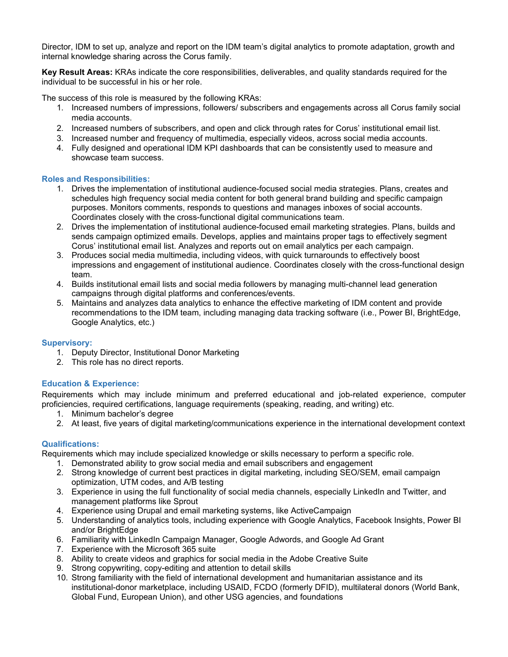Director, IDM to set up, analyze and report on the IDM team's digital analytics to promote adaptation, growth and internal knowledge sharing across the Corus family.

**Key Result Areas:** KRAs indicate the core responsibilities, deliverables, and quality standards required for the individual to be successful in his or her role.

The success of this role is measured by the following KRAs:

- 1. Increased numbers of impressions, followers/ subscribers and engagements across all Corus family social media accounts.
- 2. Increased numbers of subscribers, and open and click through rates for Corus' institutional email list.
- 3. Increased number and frequency of multimedia, especially videos, across social media accounts.
- 4. Fully designed and operational IDM KPI dashboards that can be consistently used to measure and showcase team success.

## **Roles and Responsibilities:**

- 1. Drives the implementation of institutional audience-focused social media strategies. Plans, creates and schedules high frequency social media content for both general brand building and specific campaign purposes. Monitors comments, responds to questions and manages inboxes of social accounts. Coordinates closely with the cross-functional digital communications team.
- 2. Drives the implementation of institutional audience-focused email marketing strategies. Plans, builds and sends campaign optimized emails. Develops, applies and maintains proper tags to effectively segment Corus' institutional email list. Analyzes and reports out on email analytics per each campaign.
- 3. Produces social media multimedia, including videos, with quick turnarounds to effectively boost impressions and engagement of institutional audience. Coordinates closely with the cross-functional design team.
- 4. Builds institutional email lists and social media followers by managing multi-channel lead generation campaigns through digital platforms and conferences/events.
- 5. Maintains and analyzes data analytics to enhance the effective marketing of IDM content and provide recommendations to the IDM team, including managing data tracking software (i.e., Power BI, BrightEdge, Google Analytics, etc.)

### **Supervisory:**

- 1. Deputy Director, Institutional Donor Marketing
- 2. This role has no direct reports.

# **Education & Experience:**

Requirements which may include minimum and preferred educational and job-related experience, computer proficiencies, required certifications, language requirements (speaking, reading, and writing) etc.

- 1. Minimum bachelor's degree
- 2. At least, five years of digital marketing/communications experience in the international development context

# **Qualifications:**

Requirements which may include specialized knowledge or skills necessary to perform a specific role.

- 1. Demonstrated ability to grow social media and email subscribers and engagement
- 2. Strong knowledge of current best practices in digital marketing, including SEO/SEM, email campaign optimization, UTM codes, and A/B testing
- 3. Experience in using the full functionality of social media channels, especially LinkedIn and Twitter, and management platforms like Sprout
- 4. Experience using Drupal and email marketing systems, like ActiveCampaign
- 5. Understanding of analytics tools, including experience with Google Analytics, Facebook Insights, Power BI and/or BrightEdge
- 6. Familiarity with LinkedIn Campaign Manager, Google Adwords, and Google Ad Grant
- 7. Experience with the Microsoft 365 suite
- 8. Ability to create videos and graphics for social media in the Adobe Creative Suite
- 9. Strong copywriting, copy-editing and attention to detail skills
- 10. Strong familiarity with the field of international development and humanitarian assistance and its institutional-donor marketplace, including USAID, FCDO (formerly DFID), multilateral donors (World Bank, Global Fund, European Union), and other USG agencies, and foundations